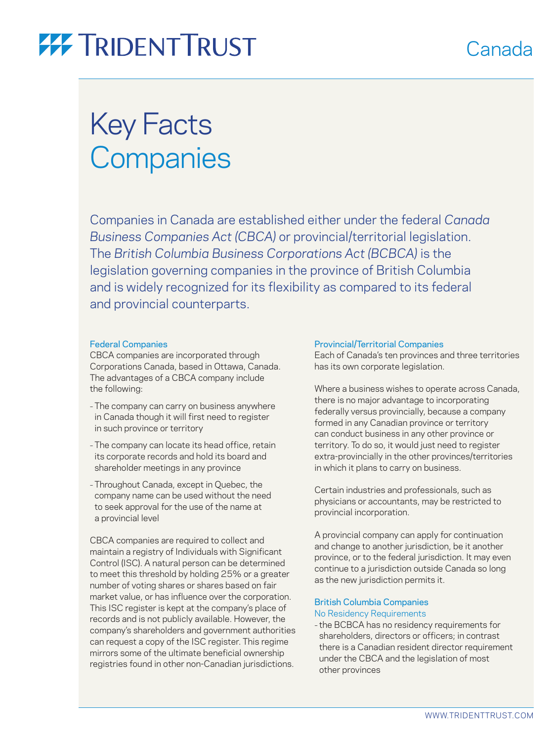# Canada

# **77 TRIDENT TRUST**

# Key Facts **Companies**

Companies in Canada are established either under the federal *Canada Business Companies Act (CBCA)* or provincial/territorial legislation. The *British Columbia Business Corporations Act (BCBCA)* is the legislation governing companies in the province of British Columbia and is widely recognized for its flexibility as compared to its federal and provincial counterparts.

## Federal Companies

CBCA companies are incorporated through Corporations Canada, based in Ottawa, Canada. The advantages of a CBCA company include the following:

- The company can carry on business anywhere in Canada though it will first need to register in such province or territory
- The company can locate its head office, retain its corporate records and hold its board and shareholder meetings in any province
- Throughout Canada, except in Quebec, the company name can be used without the need to seek approval for the use of the name at a provincial level

CBCA companies are required to collect and maintain a registry of Individuals with Significant Control (ISC). A natural person can be determined to meet this threshold by holding 25% or a greater number of voting shares or shares based on fair market value, or has influence over the corporation. This ISC register is kept at the company's place of records and is not publicly available. However, the company's shareholders and government authorities can request a copy of the ISC register. This regime mirrors some of the ultimate beneficial ownership registries found in other non-Canadian jurisdictions.

### Provincial/Territorial Companies

Each of Canada's ten provinces and three territories has its own corporate legislation.

Where a business wishes to operate across Canada, there is no major advantage to incorporating federally versus provincially, because a company formed in any Canadian province or territory can conduct business in any other province or territory. To do so, it would just need to register extra-provincially in the other provinces/territories in which it plans to carry on business.

Certain industries and professionals, such as physicians or accountants, may be restricted to provincial incorporation.

A provincial company can apply for continuation and change to another jurisdiction, be it another province, or to the federal jurisdiction. It may even continue to a jurisdiction outside Canada so long as the new jurisdiction permits it.

## British Columbia Companies No Residency Requirements

– the BCBCA has no residency requirements for shareholders, directors or officers; in contrast there is a Canadian resident director requirement under the CBCA and the legislation of most other provinces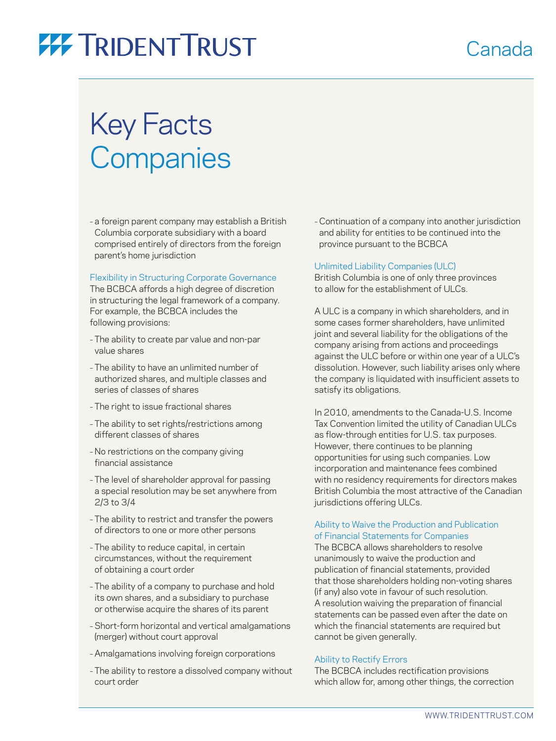# **77 TRIDENT TRUST**

# Key Facts **Companies**

– a foreign parent company may establish a British Columbia corporate subsidiary with a board comprised entirely of directors from the foreign parent's home jurisdiction

## Flexibility in Structuring Corporate Governance

The BCBCA affords a high degree of discretion in structuring the legal framework of a company. For example, the BCBCA includes the following provisions:

- The ability to create par value and non-par value shares
- The ability to have an unlimited number of authorized shares, and multiple classes and series of classes of shares
- The right to issue fractional shares
- The ability to set rights/restrictions among different classes of shares
- No restrictions on the company giving financial assistance
- The level of shareholder approval for passing a special resolution may be set anywhere from 2/3 to 3/4
- The ability to restrict and transfer the powers of directors to one or more other persons
- The ability to reduce capital, in certain circumstances, without the requirement of obtaining a court order
- The ability of a company to purchase and hold its own shares, and a subsidiary to purchase or otherwise acquire the shares of its parent
- Short-form horizontal and vertical amalgamations (merger) without court approval
- Amalgamations involving foreign corporations
- The ability to restore a dissolved company without court order

– Continuation of a company into another jurisdiction and ability for entities to be continued into the province pursuant to the BCBCA

Canada

## Unlimited Liability Companies (ULC)

British Columbia is one of only three provinces to allow for the establishment of ULCs.

A ULC is a company in which shareholders, and in some cases former shareholders, have unlimited joint and several liability for the obligations of the company arising from actions and proceedings against the ULC before or within one year of a ULC's dissolution. However, such liability arises only where the company is liquidated with insufficient assets to satisfy its obligations.

In 2010, amendments to the Canada-U.S. Income Tax Convention limited the utility of Canadian ULCs as flow-through entities for U.S. tax purposes. However, there continues to be planning opportunities for using such companies. Low incorporation and maintenance fees combined with no residency requirements for directors makes British Columbia the most attractive of the Canadian jurisdictions offering ULCs.

## Ability to Waive the Production and Publication of Financial Statements for Companies

The BCBCA allows shareholders to resolve unanimously to waive the production and publication of financial statements, provided that those shareholders holding non-voting shares (if any) also vote in favour of such resolution. A resolution waiving the preparation of financial statements can be passed even after the date on which the financial statements are required but cannot be given generally.

## Ability to Rectify Errors

The BCBCA includes rectification provisions which allow for, among other things, the correction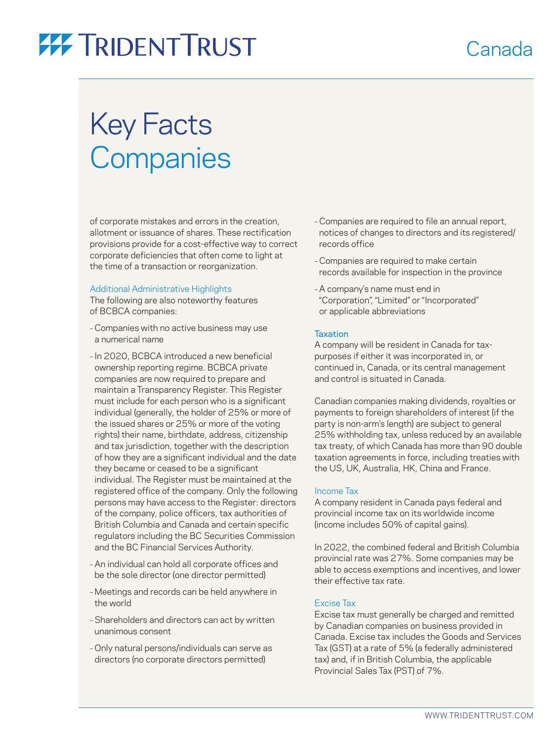# **77 TRIDENTTRUST**

# Key Facts **Companies**

of corporate mistakes and errors in the creation, allotment or issuance of shares. These rectification provisions provide for a cost-effective way to correct corporate deficiencies that often come to light at the time of a transaction or reorganization.

## Additional Administrative Highlights

The following are also noteworthy features of BCBCA companies:

- Companies with no active business may use a numerical name
- In 2020, BCBCA introduced a new beneficial ownership reporting regime. BCBCA private companies are now required to prepare and maintain a Transparency Register. This Register must include for each person who is a significant individual (generally, the holder of 25% or more of the issued shares or 25% or more of the voting rights) their name, birthdate, address, citizenship and tax jurisdiction, together with the description of how they are a significant individual and the date they became or ceased to be a significant individual. The Register must be maintained at the registered office of the company. Only the following persons may have access to the Register: directors of the company, police officers, tax authorities of British Columbia and Canada and certain specific regulators including the BC Securities Commission and the BC Financial Services Authority.
- An individual can hold all corporate offices and be the sole director (one director permitted)
- Meetings and records can be held anywhere in the world
- Shareholders and directors can act by written unanimous consent
- Only natural persons/individuals can serve as directors (no corporate directors permitted)

– Companies are required to file an annual report, notices of changes to directors and its registered/ records office

Canada

- Companies are required to make certain records available for inspection in the province
- A company's name must end in "Corporation", "Limited" or "Incorporated" or applicable abbreviations

### **Taxation**

A company will be resident in Canada for taxpurposes if either it was incorporated in, or continued in, Canada, or its central management and control is situated in Canada.

Canadian companies making dividends, royalties or payments to foreign shareholders of interest (if the party is non-arm's length) are subject to general 25% withholding tax, unless reduced by an available tax treaty, of which Canada has more than 90 double taxation agreements in force, including treaties with the US, UK, Australia, HK, China and France.

### Income Tax

A company resident in Canada pays federal and provincial income tax on its worldwide income (income includes 50% of capital gains).

In 2022, the combined federal and British Columbia provincial rate was 27%. Some companies may be able to access exemptions and incentives, and lower their effective tax rate.

### Excise Tax

Excise tax must generally be charged and remitted by Canadian companies on business provided in Canada. Excise tax includes the Goods and Services Tax (GST) at a rate of 5% (a federally administered tax) and, if in British Columbia, the applicable Provincial Sales Tax (PST) of 7%.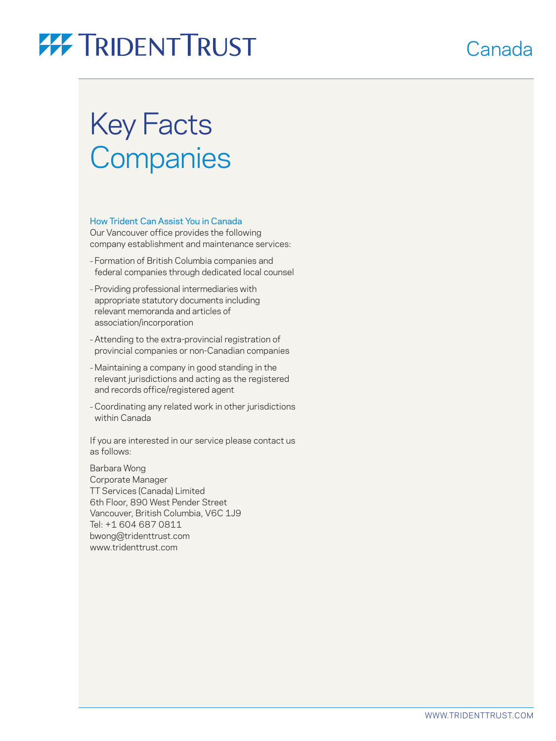# **77 TRIDENT TRUST**

# Key Facts **Companies**

## How Trident Can Assist You in Canada

Our Vancouver office provides the following company establishment and maintenance services:

- Formation of British Columbia companies and federal companies through dedicated local counsel
- Providing professional intermediaries with appropriate statutory documents including relevant memoranda and articles of association/incorporation
- Attending to the extra-provincial registration of provincial companies or non-Canadian companies
- Maintaining a company in good standing in the relevant jurisdictions and acting as the registered and records office/registered agent
- Coordinating any related work in other jurisdictions within Canada

If you are interested in our service please contact us as follows:

Barbara Wong Corporate Manager TT Services (Canada) Limited 6th Floor, 890 West Pender Street Vancouver, British Columbia, V6C 1J9 Tel: +1 604 687 0811 bwon[g@tridenttrust.com](mailto:kleung@tridenttrust.com) [www.tridenttrust.com](http://www.tridenttrust.com)

# Canada